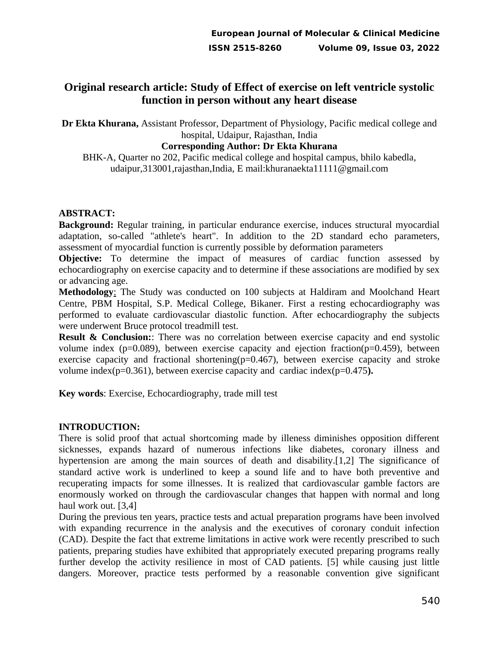# **Original research article: Study of Effect of exercise on left ventricle systolic function in person without any heart disease**

**Dr Ekta Khurana,** Assistant Professor, Department of Physiology, Pacific medical college and hospital, Udaipur, Rajasthan, India

### **Corresponding Author: Dr Ekta Khurana**

BHK-A, Quarter no 202, Pacific medical college and hospital campus, bhilo kabedla, udaipur,313001,rajasthan,India, E mail:khuranaekta11111@gmail.com

### **ABSTRACT:**

**Background:** Regular training, in particular endurance exercise, induces structural myocardial adaptation, so-called "athlete's heart". In addition to the 2D standard echo parameters, assessment of myocardial function is currently possible by deformation parameters

**Objective:** To determine the impact of measures of cardiac function assessed by echocardiography on exercise capacity and to determine if these associations are modified by sex or advancing age.

**Methodology**: The Study was conducted on 100 subjects at Haldiram and Moolchand Heart Centre, PBM Hospital, S.P. Medical College, Bikaner. First a resting echocardiography was performed to evaluate cardiovascular diastolic function. After echocardiography the subjects were underwent Bruce protocol treadmill test.

**Result & Conclusion:**: There was no correlation between exercise capacity and end systolic volume index ( $p=0.089$ ), between exercise capacity and ejection fraction( $p=0.459$ ), between exercise capacity and fractional shortening( $p=0.467$ ), between exercise capacity and stroke volume index(p=0.361), between exercise capacity and cardiac index(p=0.475**).**

**Key words**: Exercise, Echocardiography, trade mill test

### **INTRODUCTION:**

There is solid proof that actual shortcoming made by illeness diminishes opposition different sicknesses, expands hazard of numerous infections like diabetes, coronary illness and hypertension are among the main sources of death and disability.[1,2] The significance of standard active work is underlined to keep a sound life and to have both preventive and recuperating impacts for some illnesses. It is realized that cardiovascular gamble factors are enormously worked on through the cardiovascular changes that happen with normal and long haul work out. [3,4]

During the previous ten years, practice tests and actual preparation programs have been involved with expanding recurrence in the analysis and the executives of coronary conduit infection (CAD). Despite the fact that extreme limitations in active work were recently prescribed to such patients, preparing studies have exhibited that appropriately executed preparing programs really further develop the activity resilience in most of CAD patients. [5] while causing just little dangers. Moreover, practice tests performed by a reasonable convention give significant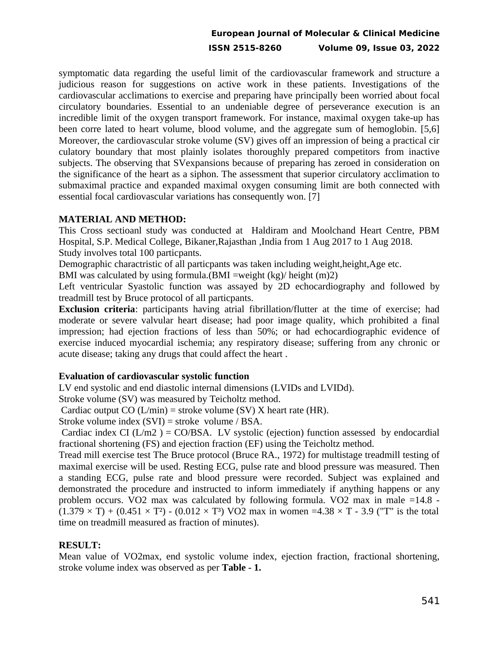## **European Journal of Molecular & Clinical Medicine ISSN 2515-8260 Volume 09, Issue 03, 2022**

symptomatic data regarding the useful limit of the cardiovascular framework and structure a judicious reason for suggestions on active work in these patients. Investigations of the cardiovascular acclimations to exercise and preparing have principally been worried about focal circulatory boundaries. Essential to an undeniable degree of perseverance execution is an incredible limit of the oxygen transport framework. For instance, maximal oxygen take-up has been corre lated to heart volume, blood volume, and the aggregate sum of hemoglobin. [5,6] Moreover, the cardiovascular stroke volume (SV) gives off an impression of being a practical cir culatory boundary that most plainly isolates thoroughly prepared competitors from inactive subjects. The observing that SVexpansions because of preparing has zeroed in consideration on the significance of the heart as a siphon. The assessment that superior circulatory acclimation to submaximal practice and expanded maximal oxygen consuming limit are both connected with essential focal cardiovascular variations has consequently won. [7]

#### **MATERIAL AND METHOD:**

This Cross sectioanl study was conducted at Haldiram and Moolchand Heart Centre, PBM Hospital, S.P. Medical College, Bikaner,Rajasthan ,India from 1 Aug 2017 to 1 Aug 2018. Study involves total 100 particpants.

Demographic charactristic of all particpants was taken including weight,height,Age etc.

BMI was calculated by using formula.(BMI =weight (kg)/ height (m)2)

Left ventricular Syastolic function was assayed by 2D echocardiography and followed by treadmill test by Bruce protocol of all particpants.

**Exclusion criteria**: participants having atrial fibrillation/flutter at the time of exercise; had moderate or severe valvular heart disease; had poor image quality, which prohibited a final impression; had ejection fractions of less than 50%; or had echocardiographic evidence of exercise induced myocardial ischemia; any respiratory disease; suffering from any chronic or acute disease; taking any drugs that could affect the heart .

#### **Evaluation of cardiovascular systolic function**

LV end systolic and end diastolic internal dimensions (LVIDs and LVIDd).

Stroke volume (SV) was measured by Teicholtz method.

Cardiac output  $CO(L/min) =$  stroke volume (SV) X heart rate (HR).

Stroke volume index (SVI) = stroke volume / BSA.

Cardiac index CI ( $L/m2$ ) = CO/BSA. LV systolic (ejection) function assessed by endocardial fractional shortening (FS) and ejection fraction (EF) using the Teicholtz method.

Tread mill exercise test The Bruce protocol (Bruce RA., 1972) for multistage treadmill testing of maximal exercise will be used. Resting ECG, pulse rate and blood pressure was measured. Then a standing ECG, pulse rate and blood pressure were recorded. Subject was explained and demonstrated the procedure and instructed to inform immediately if anything happens or any problem occurs. VO2 max was calculated by following formula. VO2 max in male =14.8 -  $(1.379 \times T) + (0.451 \times T^2) - (0.012 \times T^3)$  VO2 max in women =4.38  $\times$  T - 3.9 ("T" is the total time on treadmill measured as fraction of minutes).

### **RESULT:**

Mean value of VO2max, end systolic volume index, ejection fraction, fractional shortening, stroke volume index was observed as per **Table - 1.**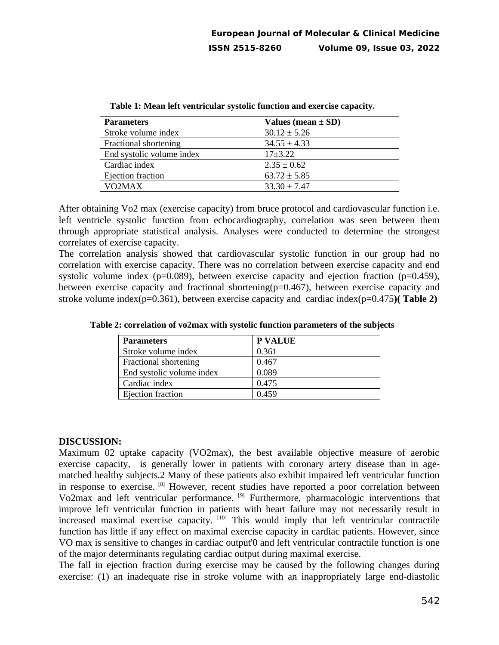| <b>Parameters</b>         | Values (mean $\pm$ SD) |
|---------------------------|------------------------|
| Stroke volume index       | $30.12 \pm 5.26$       |
| Fractional shortening     | $34.55 \pm 4.33$       |
| End systolic volume index | $17+3.22$              |
| Cardiac index             | $2.35 \pm 0.62$        |
| Ejection fraction         | $63.72 \pm 5.85$       |
| VO <sub>2</sub> MAX       | $33.30 \pm 7.47$       |

**Table 1: Mean left ventricular systolic function and exercise capacity.**

After obtaining Vo2 max (exercise capacity) from bruce protocol and cardiovascular function i.e. left ventricle systolic function from echocardiography, correlation was seen between them through appropriate statistical analysis. Analyses were conducted to determine the strongest correlates of exercise capacity.

The correlation analysis showed that cardiovascular systolic function in our group had no correlation with exercise capacity. There was no correlation between exercise capacity and end systolic volume index ( $p=0.089$ ), between exercise capacity and ejection fraction ( $p=0.459$ ), between exercise capacity and fractional shortening(p=0.467), between exercise capacity and stroke volume index(p=0.361), between exercise capacity and cardiac index(p=0.475**)( Table 2)**

| <b>Parameters</b>            | <b>P VALUE</b> |
|------------------------------|----------------|
| Stroke volume index          | 0.361          |
| <b>Fractional shortening</b> | 0.467          |
| End systolic volume index    | 0.089          |
| Cardiac index                | 0.475          |
| Ejection fraction            | 0.459          |

**Table 2: correlation of vo2max with systolic function parameters of the subjects**

#### **DISCUSSION:**

Maximum 02 uptake capacity (VO2max), the best available objective measure of aerobic exercise capacity, is generally lower in patients with coronary artery disease than in agematched healthy subjects.2 Many of these patients also exhibit impaired left ventricular function in response to exercise. <sup>[8]</sup> However, recent studies have reported a poor correlation between Vo2max and left ventricular performance. [9] Furthermore, pharmacologic interventions that improve left ventricular function in patients with heart failure may not necessarily result in increased maximal exercise capacity. [10] This would imply that left ventricular contractile function has little if any effect on maximal exercise capacity in cardiac patients. However, since VO max is sensitive to changes in cardiac output'0 and left ventricular contractile function is one of the major determinants regulating cardiac output during maximal exercise.

The fall in ejection fraction during exercise may be caused by the following changes during exercise: (1) an inadequate rise in stroke volume with an inappropriately large end-diastolic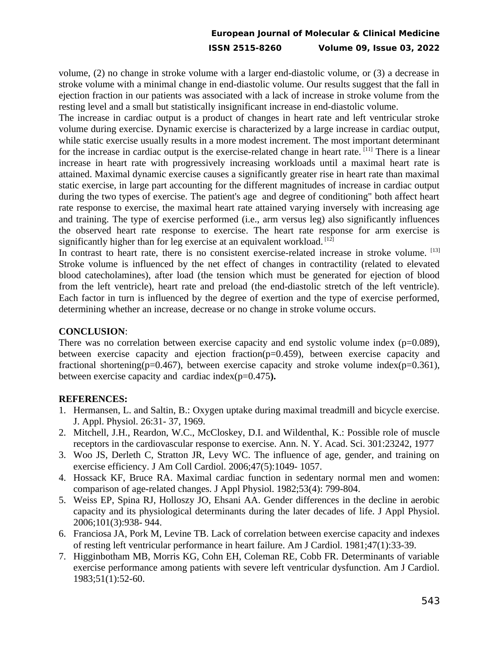## **European Journal of Molecular & Clinical Medicine ISSN 2515-8260 Volume 09, Issue 03, 2022**

volume, (2) no change in stroke volume with a larger end-diastolic volume, or (3) a decrease in stroke volume with a minimal change in end-diastolic volume. Our results suggest that the fall in ejection fraction in our patients was associated with a lack of increase in stroke volume from the resting level and a small but statistically insignificant increase in end-diastolic volume.

The increase in cardiac output is a product of changes in heart rate and left ventricular stroke volume during exercise. Dynamic exercise is characterized by a large increase in cardiac output, while static exercise usually results in a more modest increment. The most important determinant for the increase in cardiac output is the exercise-related change in heart rate. [11] There is a linear increase in heart rate with progressively increasing workloads until a maximal heart rate is attained. Maximal dynamic exercise causes a significantly greater rise in heart rate than maximal static exercise, in large part accounting for the different magnitudes of increase in cardiac output during the two types of exercise. The patient's age and degree of conditioning" both affect heart rate response to exercise, the maximal heart rate attained varying inversely with increasing age and training. The type of exercise performed (i.e., arm versus leg) also significantly influences the observed heart rate response to exercise. The heart rate response for arm exercise is significantly higher than for leg exercise at an equivalent workload. [12]

In contrast to heart rate, there is no consistent exercise-related increase in stroke volume. [13] Stroke volume is influenced by the net effect of changes in contractility (related to elevated blood catecholamines), after load (the tension which must be generated for ejection of blood from the left ventricle), heart rate and preload (the end-diastolic stretch of the left ventricle). Each factor in turn is influenced by the degree of exertion and the type of exercise performed, determining whether an increase, decrease or no change in stroke volume occurs.

### **CONCLUSION**:

There was no correlation between exercise capacity and end systolic volume index ( $p=0.089$ ), between exercise capacity and ejection fraction(p=0.459), between exercise capacity and fractional shortening( $p=0.467$ ), between exercise capacity and stroke volume index( $p=0.361$ ), between exercise capacity and cardiac index(p=0.475**).**

### **REFERENCES:**

- 1. Hermansen, L. and Saltin, B.: Oxygen uptake during maximal treadmill and bicycle exercise. J. Appl. Physiol. 26:31- 37, 1969.
- 2. Mitchell, J.H., Reardon, W.C., McCloskey, D.I. and Wildenthal, K.: Possible role of muscle receptors in the cardiovascular response to exercise. Ann. N. Y. Acad. Sci. 301:23242, 1977
- 3. Woo JS, Derleth C, Stratton JR, Levy WC. The influence of age, gender, and training on exercise efficiency. J Am Coll Cardiol. 2006;47(5):1049- 1057.
- 4. Hossack KF, Bruce RA. Maximal cardiac function in sedentary normal men and women: comparison of age-related changes. J Appl Physiol. 1982;53(4): 799-804.
- 5. Weiss EP, Spina RJ, Holloszy JO, Ehsani AA. Gender differences in the decline in aerobic capacity and its physiological determinants during the later decades of life. J Appl Physiol. 2006;101(3):938- 944.
- 6. Franciosa JA, Pork M, Levine TB. Lack of correlation between exercise capacity and indexes of resting left ventricular performance in heart failure. Am J Cardiol. 1981;47(1):33-39.
- 7. Higginbotham MB, Morris KG, Cohn EH, Coleman RE, Cobb FR. Determinants of variable exercise performance among patients with severe left ventricular dysfunction. Am J Cardiol. 1983;51(1):52-60.